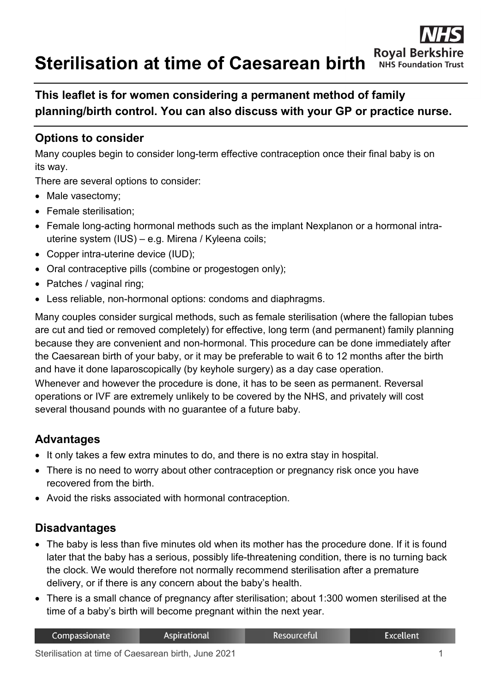**Sterilisation at time of Caesarean birth**



# **This leaflet is for women considering a permanent method of family planning/birth control. You can also discuss with your GP or practice nurse.**

## **Options to consider**

Many couples begin to consider long-term effective contraception once their final baby is on its way.

There are several options to consider:

- Male vasectomy;
- Female sterilisation:
- Female long-acting hormonal methods such as the implant Nexplanon or a hormonal intrauterine system (IUS) – e.g. Mirena / Kyleena coils;
- Copper intra-uterine device (IUD);
- Oral contraceptive pills (combine or progestogen only);
- Patches / vaginal ring;
- Less reliable, non-hormonal options: condoms and diaphragms.

Many couples consider surgical methods, such as female sterilisation (where the fallopian tubes are cut and tied or removed completely) for effective, long term (and permanent) family planning because they are convenient and non-hormonal. This procedure can be done immediately after the Caesarean birth of your baby, or it may be preferable to wait 6 to 12 months after the birth and have it done laparoscopically (by keyhole surgery) as a day case operation. Whenever and however the procedure is done, it has to be seen as permanent. Reversal operations or IVF are extremely unlikely to be covered by the NHS, and privately will cost

### **Advantages**

- It only takes a few extra minutes to do, and there is no extra stay in hospital.
- There is no need to worry about other contraception or pregnancy risk once you have recovered from the birth.
- Avoid the risks associated with hormonal contraception.

several thousand pounds with no guarantee of a future baby.

### **Disadvantages**

- The baby is less than five minutes old when its mother has the procedure done. If it is found later that the baby has a serious, possibly life-threatening condition, there is no turning back the clock. We would therefore not normally recommend sterilisation after a premature delivery, or if there is any concern about the baby's health.
- There is a small chance of pregnancy after sterilisation; about 1:300 women sterilised at the time of a baby's birth will become pregnant within the next year.

| Compassionate | Aspirational | Resourceful | Excellent |
|---------------|--------------|-------------|-----------|
|               | - - - -      |             |           |